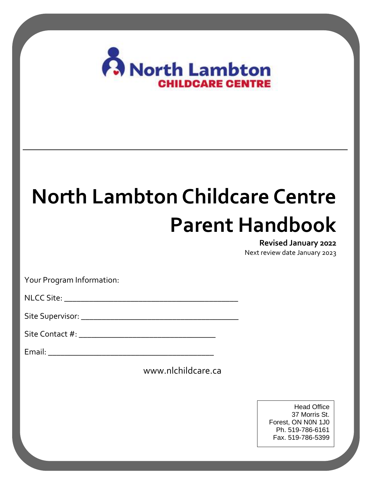

# **North Lambton Childcare Centre Parent Handbook**

#### **Revised January 2022**

Next review date January 2023

Vour Drogram In Your Program Information:

 $\mathbf{M} \in \mathcal{C}$  City Mission Statement.…………………………………………………………………………….……2 NLCC Site: \_\_\_\_\_\_\_\_\_\_\_\_\_\_\_\_\_\_\_\_\_\_\_\_\_\_\_\_\_\_\_\_\_\_\_\_\_\_\_\_\_\_

Values……………..……………………………………………………………………………….……2 Program Philosophy & Belief Statements……………………………………………….…..2 Site Supervisor: \_\_\_\_\_\_\_\_\_\_\_\_\_\_\_\_\_\_\_\_\_\_\_\_\_\_\_\_\_\_\_\_\_\_\_\_\_\_

Emergent Curriculum……………………………………………………………………….………2 Site Contact #: \_\_\_\_\_\_\_\_\_\_\_\_\_\_\_\_\_\_\_\_\_\_\_\_\_\_\_\_\_\_\_\_\_

Volunteers & Placement Students……………………………………………………………...3 Email: \_\_\_\_\_\_\_\_\_\_\_\_\_\_\_\_\_\_\_\_\_\_\_\_\_\_\_\_\_\_\_\_\_\_\_\_\_\_\_\_

www.nlchildcare.ca  $\ldots$   $\ldots$   $\ldots$   $\ldots$   $\ldots$   $\ldots$   $\ldots$   $\ldots$   $\ldots$   $\ldots$   $\ldots$   $\ldots$   $\ldots$   $\ldots$   $\ldots$   $\ldots$   $\ldots$   $\ldots$   $\ldots$   $\ldots$   $\ldots$   $\ldots$   $\ldots$   $\ldots$   $\ldots$   $\ldots$   $\ldots$   $\ldots$   $\ldots$   $\ldots$   $\ldots$   $\ldots$   $\ldots$   $\ldots$   $\ldots$   $\ldots$   $\ldots$ 

Phone Numbers & Extensions……………………………………………………………………3 Communication Files……………………………………………………………………………….4 Registration……………………………………………………………………………………………4  $\begin{array}{|c|c|c|c|c|}\n\hline\n\text{Dh} & \text{S10.3}, \text{C11} \\
\text{Dh} & \text{S10.7}\n\end{array}$ Head Office 37 Morris St. Forest, ON N0N 1J0 Ph. 519-786-6161 Fax. 519-786-5399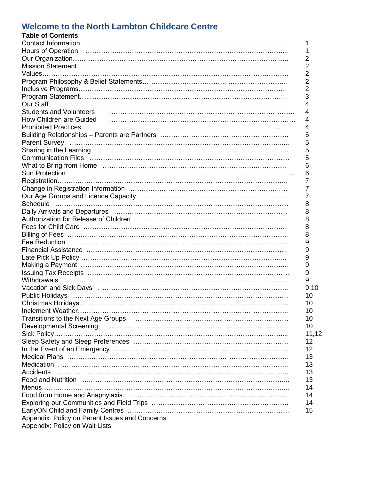#### **Welcome to the North Lambton Childcare Centre**

| <b>Table of Contents</b>                                                                                                                                                                                       |
|----------------------------------------------------------------------------------------------------------------------------------------------------------------------------------------------------------------|
| <b>Contact Information</b><br>1                                                                                                                                                                                |
| 1                                                                                                                                                                                                              |
| $\overline{2}$                                                                                                                                                                                                 |
| $\overline{2}$                                                                                                                                                                                                 |
| $\overline{2}$                                                                                                                                                                                                 |
| $\overline{2}$                                                                                                                                                                                                 |
| $\overline{2}$                                                                                                                                                                                                 |
| 3                                                                                                                                                                                                              |
| Our Staff<br>4                                                                                                                                                                                                 |
| <b>Students and Volunteers</b><br>4                                                                                                                                                                            |
| How Children are Guided Frame Communications and Communications are contained as the Children are Guided<br>4                                                                                                  |
| <b>Prohibited Practices</b><br>4                                                                                                                                                                               |
| 5                                                                                                                                                                                                              |
| 5                                                                                                                                                                                                              |
| 5                                                                                                                                                                                                              |
| 5                                                                                                                                                                                                              |
| What to Bring from Home (a) contain and the container and the container and what to Bring from Home<br>6                                                                                                       |
| Sun Protection<br>6                                                                                                                                                                                            |
| 7                                                                                                                                                                                                              |
| 7                                                                                                                                                                                                              |
| $\overline{7}$                                                                                                                                                                                                 |
| 8                                                                                                                                                                                                              |
| 8                                                                                                                                                                                                              |
| 8                                                                                                                                                                                                              |
| 8                                                                                                                                                                                                              |
| 8                                                                                                                                                                                                              |
| 9                                                                                                                                                                                                              |
|                                                                                                                                                                                                                |
| 9                                                                                                                                                                                                              |
| 9                                                                                                                                                                                                              |
| 9                                                                                                                                                                                                              |
| 9                                                                                                                                                                                                              |
| 9                                                                                                                                                                                                              |
| 9,10                                                                                                                                                                                                           |
| 10<br>Public Holidays (and according to the control of the control of the control of the control of the control of t                                                                                           |
| 10                                                                                                                                                                                                             |
| 10                                                                                                                                                                                                             |
| Transitions to the Next Age Groups (and according contract of the Next Age Groups (and according contract of the Next Age Groups (and according contract of the Next Age Groups (and according contract)<br>10 |
| Developmental Screening (Electronical Contract Contract Contract Contract Contract Contract Contract Contract C<br>10                                                                                          |
| 11,12                                                                                                                                                                                                          |
| 12                                                                                                                                                                                                             |
| 12                                                                                                                                                                                                             |
| 13                                                                                                                                                                                                             |
| 13                                                                                                                                                                                                             |
| 13                                                                                                                                                                                                             |
| 13                                                                                                                                                                                                             |
| 14                                                                                                                                                                                                             |
| 14                                                                                                                                                                                                             |
| 14                                                                                                                                                                                                             |
| 15                                                                                                                                                                                                             |
| Appendix: Policy on Parent Issues and Concerns                                                                                                                                                                 |
| Appendix: Policy on Wait Lists                                                                                                                                                                                 |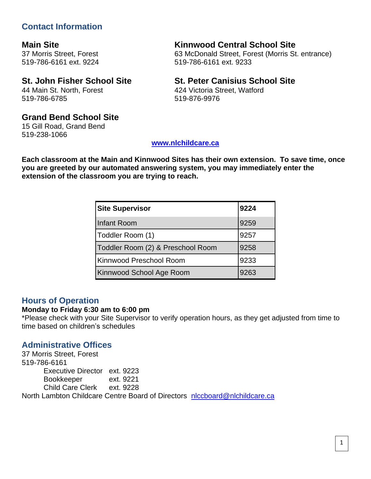# **Contact Information**

519-786-6161 ext. 9224 519-786-6161 ext. 9233

# 44 Main St. North, Forest 424 Victoria Street, Watford 519-786-6785 519-876-9976

# **Main Site Kinnwood Central School Site**

37 Morris Street, Forest 63 McDonald Street, Forest (Morris St. entrance)

# **St. John Fisher School Site St. Peter Canisius School Site**

#### **Grand Bend School Site**

15 Gill Road, Grand Bend 519-238-1066

#### **[www.nlchildcare.ca](http://www.nlchildcare.ca/)**

**Each classroom at the Main and Kinnwood Sites has their own extension. To save time, once you are greeted by our automated answering system, you may immediately enter the extension of the classroom you are trying to reach.**

| <b>Site Supervisor</b>            | 9224 |
|-----------------------------------|------|
| <b>Infant Room</b>                | 9259 |
| Toddler Room (1)                  | 9257 |
| Toddler Room (2) & Preschool Room | 9258 |
| Kinnwood Preschool Room           | 9233 |
| Kinnwood School Age Room          | 9263 |

#### **Hours of Operation**

#### **Monday to Friday 6:30 am to 6:00 pm**

\*Please check with your Site Supervisor to verify operation hours, as they get adjusted from time to time based on children's schedules

# **Administrative Offices**

37 Morris Street, Forest 519-786-6161 Executive Director ext. 9223 Bookkeeper ext. 9221 Child Care Clerk ext. 9228 North Lambton Childcare Centre Board of Directors [nlccboard@nlchildcare.ca](mailto:nlccboard@nlchildcare.ca)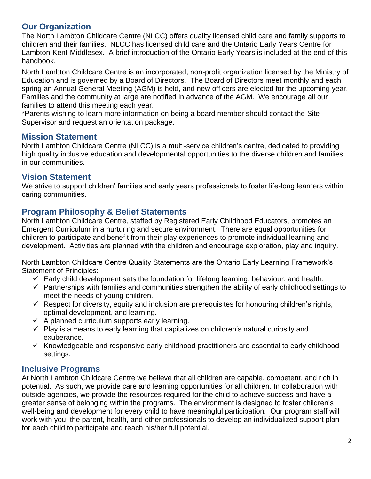# **Our Organization**

The North Lambton Childcare Centre (NLCC) offers quality licensed child care and family supports to children and their families. NLCC has licensed child care and the Ontario Early Years Centre for Lambton-Kent-Middlesex. A brief introduction of the Ontario Early Years is included at the end of this handbook.

North Lambton Childcare Centre is an incorporated, non-profit organization licensed by the Ministry of Education and is governed by a Board of Directors. The Board of Directors meet monthly and each spring an Annual General Meeting (AGM) is held, and new officers are elected for the upcoming year. Families and the community at large are notified in advance of the AGM. We encourage all our families to attend this meeting each year.

\*Parents wishing to learn more information on being a board member should contact the Site Supervisor and request an orientation package.

#### **Mission Statement**

North Lambton Childcare Centre (NLCC) is a multi-service children's centre, dedicated to providing high quality inclusive education and developmental opportunities to the diverse children and families in our communities.

## **Vision Statement**

We strive to support children' families and early years professionals to foster life-long learners within caring communities.

## **Program Philosophy & Belief Statements**

North Lambton Childcare Centre, staffed by Registered Early Childhood Educators, promotes an Emergent Curriculum in a nurturing and secure environment. There are equal opportunities for children to participate and benefit from their play experiences to promote individual learning and development. Activities are planned with the children and encourage exploration, play and inquiry.

North Lambton Childcare Centre Quality Statements are the Ontario Early Learning Framework's Statement of Principles:

- $\checkmark$  Early child development sets the foundation for lifelong learning, behaviour, and health.
- $\checkmark$  Partnerships with families and communities strengthen the ability of early childhood settings to meet the needs of young children.
- $\checkmark$  Respect for diversity, equity and inclusion are prerequisites for honouring children's rights, optimal development, and learning.
- $\checkmark$  A planned curriculum supports early learning.
- $\checkmark$  Play is a means to early learning that capitalizes on children's natural curiosity and exuberance.
- $\checkmark$  Knowledgeable and responsive early childhood practitioners are essential to early childhood settings.

## **Inclusive Programs**

At North Lambton Childcare Centre we believe that all children are capable, competent, and rich in potential. As such, we provide care and learning opportunities for all children. In collaboration with outside agencies, we provide the resources required for the child to achieve success and have a greater sense of belonging within the programs. The environment is designed to foster children's well-being and development for every child to have meaningful participation. Our program staff will work with you, the parent, health, and other professionals to develop an individualized support plan for each child to participate and reach his/her full potential.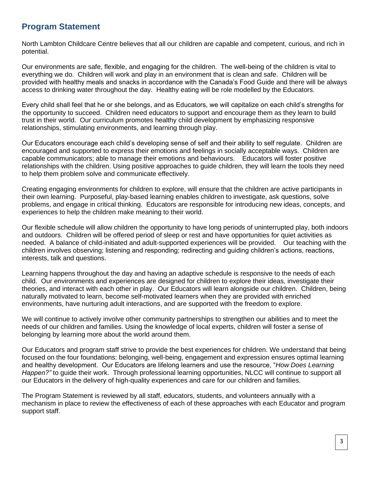#### **Program Statement**

North Lambton Childcare Centre believes that all our children are capable and competent, curious, and rich in potential.

Our environments are safe, flexible, and engaging for the children. The well-being of the children is vital to everything we do. Children will work and play in an environment that is clean and safe. Children will be provided with healthy meals and snacks in accordance with the Canada's Food Guide and there will be always access to drinking water throughout the day. Healthy eating will be role modelled by the Educators.

Every child shall feel that he or she belongs, and as Educators, we will capitalize on each child's strengths for the opportunity to succeed. Children need educators to support and encourage them as they learn to build trust in their world. Our curriculum promotes healthy child development by emphasizing responsive relationships, stimulating environments, and learning through play.

Our Educators encourage each child's developing sense of self and their ability to self regulate. Children are encouraged and supported to express their emotions and feelings in socially acceptable ways. Children are capable communicators; able to manage their emotions and behaviours. Educators will foster positive relationships with the children. Using positive approaches to guide children, they will learn the tools they need to help them problem solve and communicate effectively.

Creating engaging environments for children to explore, will ensure that the children are active participants in their own learning. Purposeful, play-based learning enables children to investigate, ask questions, solve problems, and engage in critical thinking. Educators are responsible for introducing new ideas, concepts, and experiences to help the children make meaning to their world.

Our flexible schedule will allow children the opportunity to have long periods of uninterrupted play, both indoors and outdoors. Children will be offered period of sleep or rest and have opportunities for quiet activities as needed. A balance of child-initiated and adult-supported experiences will be provided. Our teaching with the children involves observing; listening and responding; redirecting and guiding children's actions, reactions, interests, talk and questions.

Learning happens throughout the day and having an adaptive schedule is responsive to the needs of each child. Our environments and experiences are designed for children to explore their ideas, investigate their theories, and interact with each other in play. Our Educators will learn alongside our children. Children, being naturally motivated to learn, become self-motivated learners when they are provided with enriched environments, have nurturing adult interactions, and are supported with the freedom to explore.

We will continue to actively involve other community partnerships to strengthen our abilities and to meet the needs of our children and families. Using the knowledge of local experts, children will foster a sense of belonging by learning more about the world around them.

Our Educators and program staff strive to provide the best experiences for children. We understand that being focused on the four foundations: belonging, well-being, engagement and expression ensures optimal learning and healthy development. Our Educators are lifelong learners and use the resource, "*How Does Learning Happen?"* to guide their work. Through professional learning opportunities, NLCC will continue to support all our Educators in the delivery of high-quality experiences and care for our children and families.

The Program Statement is reviewed by all staff, educators, students, and volunteers annually with a mechanism in place to review the effectiveness of each of these approaches with each Educator and program support staff.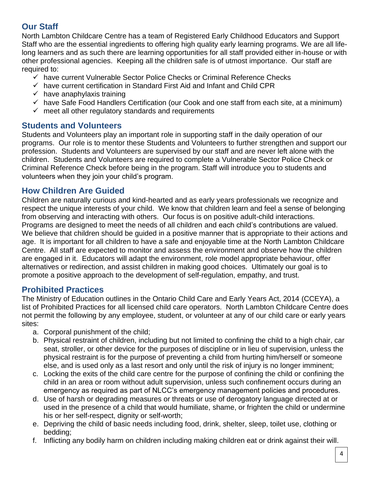# **Our Staff**

North Lambton Childcare Centre has a team of Registered Early Childhood Educators and Support Staff who are the essential ingredients to offering high quality early learning programs. We are all lifelong learners and as such there are learning opportunities for all staff provided either in-house or with other professional agencies. Keeping all the children safe is of utmost importance. Our staff are required to:

- ✓ have current Vulnerable Sector Police Checks or Criminal Reference Checks
- $\checkmark$  have current certification in Standard First Aid and Infant and Child CPR
- $\checkmark$  have anaphylaxis training
- $\checkmark$  have Safe Food Handlers Certification (our Cook and one staff from each site, at a minimum)
- $\checkmark$  meet all other regulatory standards and requirements

## **Students and Volunteers**

Students and Volunteers play an important role in supporting staff in the daily operation of our programs. Our role is to mentor these Students and Volunteers to further strengthen and support our profession. Students and Volunteers are supervised by our staff and are never left alone with the children. Students and Volunteers are required to complete a Vulnerable Sector Police Check or Criminal Reference Check before being in the program. Staff will introduce you to students and volunteers when they join your child's program.

#### **How Children Are Guided**

Children are naturally curious and kind-hearted and as early years professionals we recognize and respect the unique interests of your child. We know that children learn and feel a sense of belonging from observing and interacting with others. Our focus is on positive adult-child interactions. Programs are designed to meet the needs of all children and each child's contributions are valued. We believe that children should be quided in a positive manner that is appropriate to their actions and age. It is important for all children to have a safe and enjoyable time at the North Lambton Childcare Centre. All staff are expected to monitor and assess the environment and observe how the children are engaged in it. Educators will adapt the environment, role model appropriate behaviour, offer alternatives or redirection, and assist children in making good choices. Ultimately our goal is to promote a positive approach to the development of self-regulation, empathy, and trust.

#### **Prohibited Practices**

The Ministry of Education outlines in the Ontario Child Care and Early Years Act, 2014 (CCEYA), a list of Prohibited Practices for all licensed child care operators. North Lambton Childcare Centre does not permit the following by any employee, student, or volunteer at any of our child care or early years sites:

- a. Corporal punishment of the child;
- b. Physical restraint of children, including but not limited to confining the child to a high chair, car seat, stroller, or other device for the purposes of discipline or in lieu of supervision, unless the physical restraint is for the purpose of preventing a child from hurting him/herself or someone else, and is used only as a last resort and only until the risk of injury is no longer imminent;
- c. Locking the exits of the child care centre for the purpose of confining the child or confining the child in an area or room without adult supervision, unless such confinement occurs during an emergency as required as part of NLCC's emergency management policies and procedures.
- d. Use of harsh or degrading measures or threats or use of derogatory language directed at or used in the presence of a child that would humiliate, shame, or frighten the child or undermine his or her self-respect, dignity or self-worth;
- e. Depriving the child of basic needs including food, drink, shelter, sleep, toilet use, clothing or bedding;
- f. Inflicting any bodily harm on children including making children eat or drink against their will.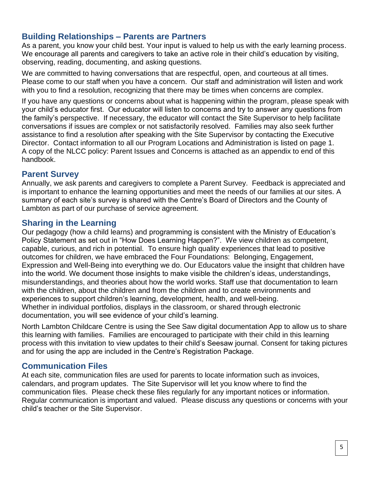# **Building Relationships – Parents are Partners**

As a parent, you know your child best. Your input is valued to help us with the early learning process. We encourage all parents and caregivers to take an active role in their child's education by visiting, observing, reading, documenting, and asking questions.

We are committed to having conversations that are respectful, open, and courteous at all times. Please come to our staff when you have a concern. Our staff and administration will listen and work with you to find a resolution, recognizing that there may be times when concerns are complex.

If you have any questions or concerns about what is happening within the program, please speak with your child's educator first. Our educator will listen to concerns and try to answer any questions from the family's perspective. If necessary, the educator will contact the Site Supervisor to help facilitate conversations if issues are complex or not satisfactorily resolved. Families may also seek further assistance to find a resolution after speaking with the Site Supervisor by contacting the Executive Director. Contact information to all our Program Locations and Administration is listed on page 1. A copy of the NLCC policy: Parent Issues and Concerns is attached as an appendix to end of this handbook.

# **Parent Survey**

Annually, we ask parents and caregivers to complete a Parent Survey. Feedback is appreciated and is important to enhance the learning opportunities and meet the needs of our families at our sites. A summary of each site's survey is shared with the Centre's Board of Directors and the County of Lambton as part of our purchase of service agreement.

# **Sharing in the Learning**

Our pedagogy (how a child learns) and programming is consistent with the Ministry of Education's Policy Statement as set out in "How Does Learning Happen?". We view children as competent, capable, curious, and rich in potential. To ensure high quality experiences that lead to positive outcomes for children, we have embraced the Four Foundations: Belonging, Engagement, Expression and Well-Being into everything we do. Our Educators value the insight that children have into the world. We document those insights to make visible the children's ideas, understandings, misunderstandings, and theories about how the world works. Staff use that documentation to learn with the children, about the children and from the children and to create environments and experiences to support children's learning, development, health, and well-being. Whether in individual portfolios, displays in the classroom, or shared through electronic documentation, you will see evidence of your child's learning.

North Lambton Childcare Centre is using the See Saw digital documentation App to allow us to share this learning with families. Families are encouraged to participate with their child in this learning process with this invitation to view updates to their child's Seesaw journal. Consent for taking pictures and for using the app are included in the Centre's Registration Package.

## **Communication Files**

At each site, communication files are used for parents to locate information such as invoices, calendars, and program updates. The Site Supervisor will let you know where to find the communication files. Please check these files regularly for any important notices or information. Regular communication is important and valued. Please discuss any questions or concerns with your child's teacher or the Site Supervisor.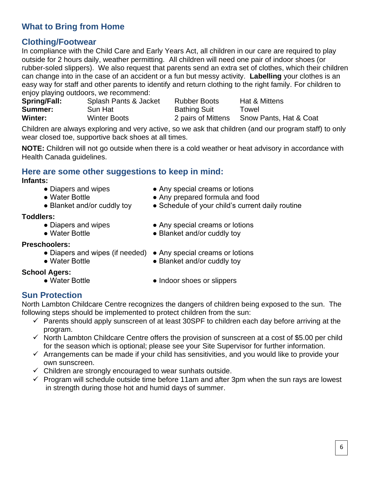# **What to Bring from Home**

# **Clothing/Footwear**

In compliance with the Child Care and Early Years Act, all children in our care are required to play outside for 2 hours daily, weather permitting. All children will need one pair of indoor shoes (or rubber-soled slippers). We also request that parents send an extra set of clothes, which their children can change into in the case of an accident or a fun but messy activity. **Labelling** your clothes is an easy way for staff and other parents to identify and return clothing to the right family. For children to enjoy playing outdoors, we recommend:

| .<br><b>Spring/Fall:</b> | Splash Pants & Jacket | <b>Rubber Boots</b> | Hat & Mittens          |
|--------------------------|-----------------------|---------------------|------------------------|
| Summer:                  | Sun Hat               | <b>Bathing Suit</b> | Towel                  |
| Winter:                  | <b>Winter Boots</b>   | 2 pairs of Mittens  | Snow Pants, Hat & Coat |

Children are always exploring and very active, so we ask that children (and our program staff) to only wear closed toe, supportive back shoes at all times.

**NOTE:** Children will not go outside when there is a cold weather or heat advisory in accordance with Health Canada guidelines.

#### **Here are some other suggestions to keep in mind: Infants:**

- 
- Diapers and wipes Any special creams or lotions
- Water Bottle △ Any prepared formula and food
- Blanket and/or cuddly toy Schedule of your child's current daily routine

#### **Toddlers:**

- 
- 

#### **Preschoolers:**

- Diapers and wipes (if needed) Any special creams or lotions
- 
- 
- 
- Diapers and wipes Any special creams or lotions
- Water Bottle Blanket and/or cuddly toy
	-
- Water Bottle Blanket and/or cuddly toy

#### **School Agers:**

- 
- Water Bottle  **Indoor shoes or slippers**

## **Sun Protection**

North Lambton Childcare Centre recognizes the dangers of children being exposed to the sun. The following steps should be implemented to protect children from the sun:

- $\checkmark$  Parents should apply sunscreen of at least 30SPF to children each day before arriving at the program.
- $\checkmark$  North Lambton Childcare Centre offers the provision of sunscreen at a cost of \$5.00 per child for the season which is optional; please see your Site Supervisor for further information.
- $\checkmark$  Arrangements can be made if your child has sensitivities, and you would like to provide your own sunscreen.
- $\checkmark$  Children are strongly encouraged to wear sunhats outside.
- $\checkmark$  Program will schedule outside time before 11am and after 3pm when the sun rays are lowest in strength during those hot and humid days of summer.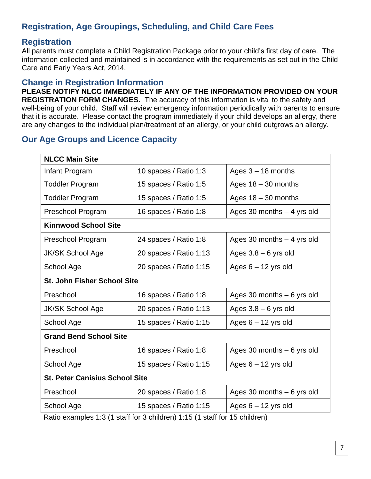# **Registration, Age Groupings, Scheduling, and Child Care Fees**

#### **Registration**

All parents must complete a Child Registration Package prior to your child's first day of care. The information collected and maintained is in accordance with the requirements as set out in the Child Care and Early Years Act, 2014.

#### **Change in Registration Information**

**PLEASE NOTIFY NLCC IMMEDIATELY IF ANY OF THE INFORMATION PROVIDED ON YOUR REGISTRATION FORM CHANGES.** The accuracy of this information is vital to the safety and well-being of your child. Staff will review emergency information periodically with parents to ensure that it is accurate. Please contact the program immediately if your child develops an allergy, there are any changes to the individual plan/treatment of an allergy, or your child outgrows an allergy.

## **Our Age Groups and Licence Capacity**

| <b>NLCC Main Site</b>                 |                                                                                                                                    |                             |  |  |
|---------------------------------------|------------------------------------------------------------------------------------------------------------------------------------|-----------------------------|--|--|
| Infant Program                        | 10 spaces / Ratio 1:3                                                                                                              | Ages $3 - 18$ months        |  |  |
| <b>Toddler Program</b>                | 15 spaces / Ratio 1:5                                                                                                              | Ages $18 - 30$ months       |  |  |
| <b>Toddler Program</b>                | 15 spaces / Ratio 1:5                                                                                                              | Ages $18 - 30$ months       |  |  |
| Preschool Program                     | 16 spaces / Ratio 1:8                                                                                                              | Ages 30 months - 4 yrs old  |  |  |
| <b>Kinnwood School Site</b>           |                                                                                                                                    |                             |  |  |
| Preschool Program                     | 24 spaces / Ratio 1:8                                                                                                              | Ages 30 months $-4$ yrs old |  |  |
| <b>JK/SK School Age</b>               | 20 spaces / Ratio 1:13                                                                                                             | Ages $3.8 - 6$ yrs old      |  |  |
| School Age                            | 20 spaces / Ratio 1:15                                                                                                             | Ages $6 - 12$ yrs old       |  |  |
| <b>St. John Fisher School Site</b>    |                                                                                                                                    |                             |  |  |
| Preschool                             | 16 spaces / Ratio 1:8                                                                                                              | Ages 30 months $-6$ yrs old |  |  |
| <b>JK/SK School Age</b>               | 20 spaces / Ratio 1:13                                                                                                             | Ages $3.8 - 6$ yrs old      |  |  |
| School Age                            | 15 spaces / Ratio 1:15                                                                                                             | Ages $6 - 12$ yrs old       |  |  |
| <b>Grand Bend School Site</b>         |                                                                                                                                    |                             |  |  |
| Preschool                             | 16 spaces / Ratio 1:8                                                                                                              | Ages 30 months $-6$ yrs old |  |  |
| School Age                            | 15 spaces / Ratio 1:15                                                                                                             | Ages $6 - 12$ yrs old       |  |  |
| <b>St. Peter Canisius School Site</b> |                                                                                                                                    |                             |  |  |
| Preschool                             | 20 spaces / Ratio 1:8                                                                                                              | Ages 30 months $-6$ yrs old |  |  |
| School Age                            | 15 spaces / Ratio 1:15<br>$(A + A \cdot 0)$ (A staff fax $\Omega$ abilidean) $A \cdot A \Gamma$ (A staff fax $A \Gamma$ abilidean) | Ages $6 - 12$ yrs old       |  |  |

Ratio examples 1:3 (1 staff for 3 children) 1:15 (1 staff for 15 children)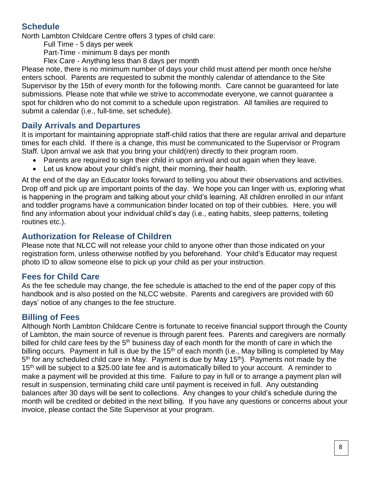# **Schedule**

North Lambton Childcare Centre offers 3 types of child care:

Full Time - 5 days per week

Part-Time - minimum 8 days per month

Flex Care - Anything less than 8 days per month

Please note, there is no minimum number of days your child must attend per month once he/she enters school. Parents are requested to submit the monthly calendar of attendance to the Site Supervisor by the 15th of every month for the following month. Care cannot be guaranteed for late submissions. Please note that while we strive to accommodate everyone, we cannot guarantee a spot for children who do not commit to a schedule upon registration. All families are required to submit a calendar (i.e., full-time, set schedule).

## **Daily Arrivals and Departures**

It is important for maintaining appropriate staff-child ratios that there are regular arrival and departure times for each child. If there is a change, this must be communicated to the Supervisor or Program Staff. Upon arrival we ask that you bring your child(ren) directly to their program room.

- Parents are required to sign their child in upon arrival and out again when they leave.
- Let us know about your child's night, their morning, their health.

At the end of the day an Educator looks forward to telling you about their observations and activities. Drop off and pick up are important points of the day. We hope you can linger with us, exploring what is happening in the program and talking about your child's learning. All children enrolled in our infant and toddler programs have a communication binder located on top of their cubbies. Here, you will find any information about your individual child's day (i.e., eating habits, sleep patterns, toileting routines etc.).

# **Authorization for Release of Children**

Please note that NLCC will not release your child to anyone other than those indicated on your registration form, unless otherwise notified by you beforehand. Your child's Educator may request photo ID to allow someone else to pick up your child as per your instruction.

## **Fees for Child Care**

As the fee schedule may change, the fee schedule is attached to the end of the paper copy of this handbook and is also posted on the NLCC website. Parents and caregivers are provided with 60 days' notice of any changes to the fee structure.

## **Billing of Fees**

Although North Lambton Childcare Centre is fortunate to receive financial support through the County of Lambton, the main source of revenue is through parent fees. Parents and caregivers are normally billed for child care fees by the  $5<sup>th</sup>$  business day of each month for the month of care in which the billing occurs. Payment in full is due by the  $15<sup>th</sup>$  of each month (i.e., May billing is completed by May 5<sup>th</sup> for any scheduled child care in May. Payment is due by May 15<sup>th</sup>). Payments not made by the 15<sup>th</sup> will be subject to a \$25.00 late fee and is automatically billed to your account. A reminder to make a payment will be provided at this time. Failure to pay in full or to arrange a payment plan will result in suspension, terminating child care until payment is received in full. Any outstanding balances after 30 days will be sent to collections. Any changes to your child's schedule during the month will be credited or debited in the next billing. If you have any questions or concerns about your invoice, please contact the Site Supervisor at your program.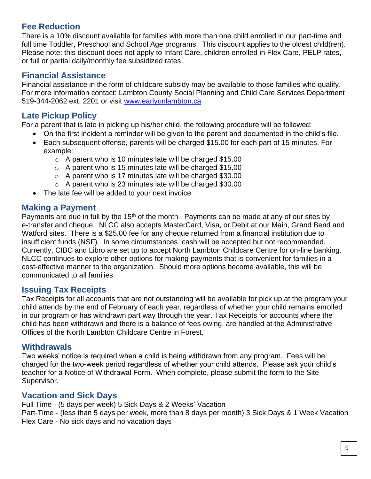# **Fee Reduction**

There is a 10% discount available for families with more than one child enrolled in our part-time and full time Toddler, Preschool and School Age programs. This discount applies to the oldest child(ren). Please note: this discount does not apply to Infant Care, children enrolled in Flex Care, PELP rates, or full or partial daily/monthly fee subsidized rates.

# **Financial Assistance**

Financial assistance in the form of childcare subsidy may be available to those families who qualify. For more information contact: Lambton County Social Planning and Child Care Services Department 519-344-2062 ext. 2201 or visit [www.earlyonlambton.ca](http://www.earlyonlambton.ca/)

# **Late Pickup Policy**

For a parent that is late in picking up his/her child, the following procedure will be followed:

- On the first incident a reminder will be given to the parent and documented in the child's file.
- Each subsequent offense, parents will be charged \$15.00 for each part of 15 minutes. For example:
	- $\circ$  A parent who is 10 minutes late will be charged \$15.00
	- $\circ$  A parent who is 15 minutes late will be charged \$15.00
	- $\circ$  A parent who is 17 minutes late will be charged \$30.00
	- $\circ$  A parent who is 23 minutes late will be charged \$30.00
- The late fee will be added to your next invoice

## **Making a Payment**

Payments are due in full by the  $15<sup>th</sup>$  of the month. Payments can be made at any of our sites by e-transfer and cheque. NLCC also accepts MasterCard, Visa, or Debit at our Main, Grand Bend and Watford sites. There is a \$25.00 fee for any cheque returned from a financial institution due to insufficient funds (NSF). In some circumstances, cash will be accepted but not recommended. Currently, CIBC and Libro are set up to accept North Lambton Childcare Centre for on-line banking. NLCC continues to explore other options for making payments that is convenient for families in a cost-effective manner to the organization. Should more options become available, this will be communicated to all families.

## **Issuing Tax Receipts**

Tax Receipts for all accounts that are not outstanding will be available for pick up at the program your child attends by the end of February of each year, regardless of whether your child remains enrolled in our program or has withdrawn part way through the year. Tax Receipts for accounts where the child has been withdrawn and there is a balance of fees owing, are handled at the Administrative Offices of the North Lambton Childcare Centre in Forest.

#### **Withdrawals**

Two weeks' notice is required when a child is being withdrawn from any program. Fees will be charged for the two-week period regardless of whether your child attends. Please ask your child's teacher for a Notice of Withdrawal Form. When complete, please submit the form to the Site Supervisor.

## **Vacation and Sick Days**

Full Time - (5 days per week) 5 Sick Days & 2 Weeks' Vacation Part-Time - (less than 5 days per week, more than 8 days per month) 3 Sick Days & 1 Week Vacation Flex Care - No sick days and no vacation days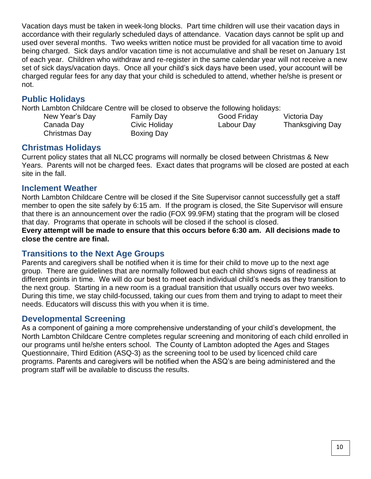Vacation days must be taken in week-long blocks. Part time children will use their vacation days in accordance with their regularly scheduled days of attendance. Vacation days cannot be split up and used over several months. Two weeks written notice must be provided for all vacation time to avoid being charged. Sick days and/or vacation time is not accumulative and shall be reset on January 1st of each year. Children who withdraw and re-register in the same calendar year will not receive a new set of sick days/vacation days. Once all your child's sick days have been used, your account will be charged regular fees for any day that your child is scheduled to attend, whether he/she is present or not.

## **Public Holidays**

North Lambton Childcare Centre will be closed to observe the following holidays:

Christmas Day Boxing Day

New Year's Day **Family Day Good Friday** Victoria Day Canada Day Civic Holiday Labour Day Thanksgiving Day

## **Christmas Holidays**

Current policy states that all NLCC programs will normally be closed between Christmas & New Years. Parents will not be charged fees. Exact dates that programs will be closed are posted at each site in the fall.

#### **Inclement Weather**

North Lambton Childcare Centre will be closed if the Site Supervisor cannot successfully get a staff member to open the site safely by 6:15 am. If the program is closed, the Site Supervisor will ensure that there is an announcement over the radio (FOX 99.9FM) stating that the program will be closed that day. Programs that operate in schools will be closed if the school is closed.

**Every attempt will be made to ensure that this occurs before 6:30 am. All decisions made to close the centre are final.**

## **Transitions to the Next Age Groups**

Parents and caregivers shall be notified when it is time for their child to move up to the next age group. There are guidelines that are normally followed but each child shows signs of readiness at different points in time. We will do our best to meet each individual child's needs as they transition to the next group. Starting in a new room is a gradual transition that usually occurs over two weeks. During this time, we stay child-focussed, taking our cues from them and trying to adapt to meet their needs. Educators will discuss this with you when it is time.

## **Developmental Screening**

As a component of gaining a more comprehensive understanding of your child's development, the North Lambton Childcare Centre completes regular screening and monitoring of each child enrolled in our programs until he/she enters school. The County of Lambton adopted the Ages and Stages Questionnaire, Third Edition (ASQ-3) as the screening tool to be used by licenced child care programs. Parents and caregivers will be notified when the ASQ's are being administered and the program staff will be available to discuss the results.

I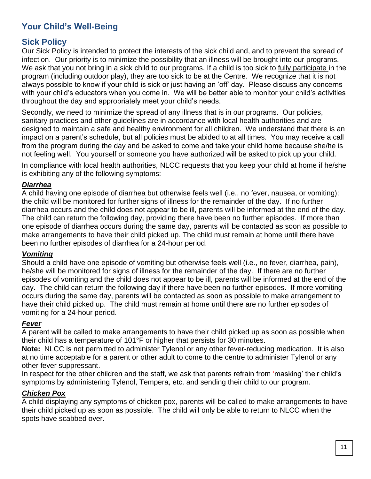# **Your Child's Well-Being**

## **Sick Policy**

Our Sick Policy is intended to protect the interests of the sick child and, and to prevent the spread of infection. Our priority is to minimize the possibility that an illness will be brought into our programs. We ask that you not bring in a sick child to our programs. If a child is too sick to fully participate in the program (including outdoor play), they are too sick to be at the Centre. We recognize that it is not always possible to know if your child is sick or just having an 'off' day. Please discuss any concerns with your child's educators when you come in. We will be better able to monitor your child's activities throughout the day and appropriately meet your child's needs.

Secondly, we need to minimize the spread of any illness that is in our programs. Our policies, sanitary practices and other guidelines are in accordance with local health authorities and are designed to maintain a safe and healthy environment for all children. We understand that there is an impact on a parent's schedule, but all policies must be abided to at all times. You may receive a call from the program during the day and be asked to come and take your child home because she/he is not feeling well. You yourself or someone you have authorized will be asked to pick up your child.

In compliance with local health authorities, NLCC requests that you keep your child at home if he/she is exhibiting any of the following symptoms:

#### *Diarrhea*

A child having one episode of diarrhea but otherwise feels well (i.e., no fever, nausea, or vomiting): the child will be monitored for further signs of illness for the remainder of the day. If no further diarrhea occurs and the child does not appear to be ill, parents will be informed at the end of the day. The child can return the following day, providing there have been no further episodes. If more than one episode of diarrhea occurs during the same day, parents will be contacted as soon as possible to make arrangements to have their child picked up. The child must remain at home until there have been no further episodes of diarrhea for a 24-hour period.

#### *Vomiting*

Should a child have one episode of vomiting but otherwise feels well (i.e., no fever, diarrhea, pain), he/she will be monitored for signs of illness for the remainder of the day. If there are no further episodes of vomiting and the child does not appear to be ill, parents will be informed at the end of the day. The child can return the following day if there have been no further episodes. If more vomiting occurs during the same day, parents will be contacted as soon as possible to make arrangement to have their child picked up. The child must remain at home until there are no further episodes of vomiting for a 24-hour period.

#### *Fever*

A parent will be called to make arrangements to have their child picked up as soon as possible when their child has a temperature of 101°F or higher that persists for 30 minutes.

**Note:** NLCC is not permitted to administer Tylenol or any other fever-reducing medication. It is also at no time acceptable for a parent or other adult to come to the centre to administer Tylenol or any other fever suppressant.

In respect for the other children and the staff, we ask that parents refrain from 'masking' their child's symptoms by administering Tylenol, Tempera, etc. and sending their child to our program.

#### *Chicken Pox*

A child displaying any symptoms of chicken pox, parents will be called to make arrangements to have their child picked up as soon as possible. The child will only be able to return to NLCC when the spots have scabbed over.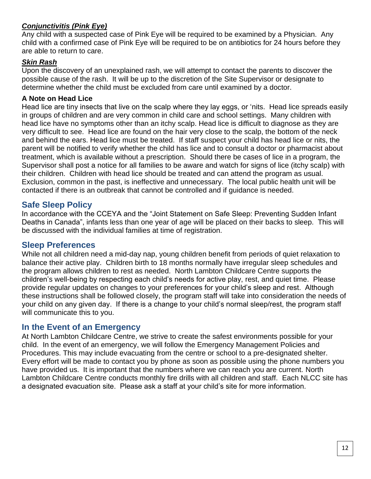#### *Conjunctivitis (Pink Eye)*

Any child with a suspected case of Pink Eye will be required to be examined by a Physician. Any child with a confirmed case of Pink Eye will be required to be on antibiotics for 24 hours before they are able to return to care.

#### *Skin Rash*

Upon the discovery of an unexplained rash, we will attempt to contact the parents to discover the possible cause of the rash. It will be up to the discretion of the Site Supervisor or designate to determine whether the child must be excluded from care until examined by a doctor.

#### **A Note on Head Lice**

Head lice are tiny insects that live on the scalp where they lay eggs, or 'nits. Head lice spreads easily in groups of children and are very common in child care and school settings. Many children with head lice have no symptoms other than an itchy scalp. Head lice is difficult to diagnose as they are very difficult to see. Head lice are found on the hair very close to the scalp, the bottom of the neck and behind the ears. Head lice must be treated. If staff suspect your child has head lice or nits, the parent will be notified to verify whether the child has lice and to consult a doctor or pharmacist about treatment, which is available without a prescription. Should there be cases of lice in a program, the Supervisor shall post a notice for all families to be aware and watch for signs of lice (itchy scalp) with their children. Children with head lice should be treated and can attend the program as usual. Exclusion, common in the past, is ineffective and unnecessary. The local public health unit will be contacted if there is an outbreak that cannot be controlled and if guidance is needed.

#### **Safe Sleep Policy**

In accordance with the CCEYA and the "Joint Statement on Safe Sleep: Preventing Sudden Infant Deaths in Canada", infants less than one year of age will be placed on their backs to sleep. This will be discussed with the individual families at time of registration.

#### **Sleep Preferences**

While not all children need a mid-day nap, young children benefit from periods of quiet relaxation to balance their active play. Children birth to 18 months normally have irregular sleep schedules and the program allows children to rest as needed. North Lambton Childcare Centre supports the children's well-being by respecting each child's needs for active play, rest, and quiet time. Please provide regular updates on changes to your preferences for your child's sleep and rest. Although these instructions shall be followed closely, the program staff will take into consideration the needs of your child on any given day. If there is a change to your child's normal sleep/rest, the program staff will communicate this to you.

#### **In the Event of an Emergency**

At North Lambton Childcare Centre, we strive to create the safest environments possible for your child. In the event of an emergency, we will follow the Emergency Management Policies and Procedures. This may include evacuating from the centre or school to a pre-designated shelter. Every effort will be made to contact you by phone as soon as possible using the phone numbers you have provided us. It is important that the numbers where we can reach you are current. North Lambton Childcare Centre conducts monthly fire drills with all children and staff. Each NLCC site has a designated evacuation site. Please ask a staff at your child's site for more information.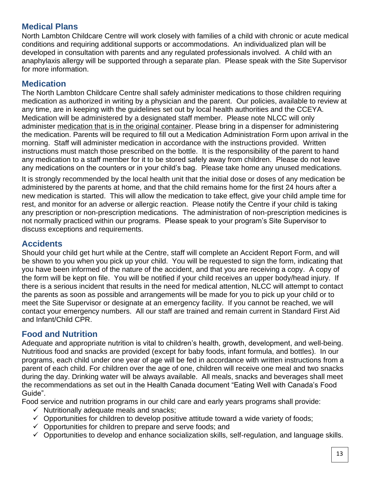# **Medical Plans**

North Lambton Childcare Centre will work closely with families of a child with chronic or acute medical conditions and requiring additional supports or accommodations. An individualized plan will be developed in consultation with parents and any regulated professionals involved. A child with an anaphylaxis allergy will be supported through a separate plan. Please speak with the Site Supervisor for more information.

# **Medication**

The North Lambton Childcare Centre shall safely administer medications to those children requiring medication as authorized in writing by a physician and the parent. Our policies, available to review at any time, are in keeping with the guidelines set out by local health authorities and the CCEYA. Medication will be administered by a designated staff member. Please note NLCC will only administer medication that is in the original container. Please bring in a dispenser for administering the medication. Parents will be required to fill out a Medication Administration Form upon arrival in the morning. Staff will administer medication in accordance with the instructions provided. Written instructions must match those prescribed on the bottle. It is the responsibility of the parent to hand any medication to a staff member for it to be stored safely away from children. Please do not leave any medications on the counters or in your child's bag. Please take home any unused medications.

It is strongly recommended by the local health unit that the initial dose or doses of any medication be administered by the parents at home, and that the child remains home for the first 24 hours after a new medication is started. This will allow the medication to take effect, give your child ample time for rest, and monitor for an adverse or allergic reaction. Please notify the Centre if your child is taking any prescription or non-prescription medications. The administration of non-prescription medicines is not normally practiced within our programs. Please speak to your program's Site Supervisor to discuss exceptions and requirements.

#### **Accidents**

Should your child get hurt while at the Centre, staff will complete an Accident Report Form, and will be shown to you when you pick up your child. You will be requested to sign the form, indicating that you have been informed of the nature of the accident, and that you are receiving a copy. A copy of the form will be kept on file. You will be notified if your child receives an upper body/head injury. If there is a serious incident that results in the need for medical attention, NLCC will attempt to contact the parents as soon as possible and arrangements will be made for you to pick up your child or to meet the Site Supervisor or designate at an emergency facility. If you cannot be reached, we will contact your emergency numbers. All our staff are trained and remain current in Standard First Aid and Infant/Child CPR.

## **Food and Nutrition**

Adequate and appropriate nutrition is vital to children's health, growth, development, and well-being. Nutritious food and snacks are provided (except for baby foods, infant formula, and bottles). In our programs, each child under one year of age will be fed in accordance with written instructions from a parent of each child. For children over the age of one, children will receive one meal and two snacks during the day. Drinking water will be always available. All meals, snacks and beverages shall meet the recommendations as set out in the Health Canada document "Eating Well with Canada's Food Guide".

Food service and nutrition programs in our child care and early years programs shall provide:

- $\checkmark$  Nutritionally adequate meals and snacks;
- $\checkmark$  Opportunities for children to develop positive attitude toward a wide variety of foods;
- $\checkmark$  Opportunities for children to prepare and serve foods; and
- $\checkmark$  Opportunities to develop and enhance socialization skills, self-regulation, and language skills.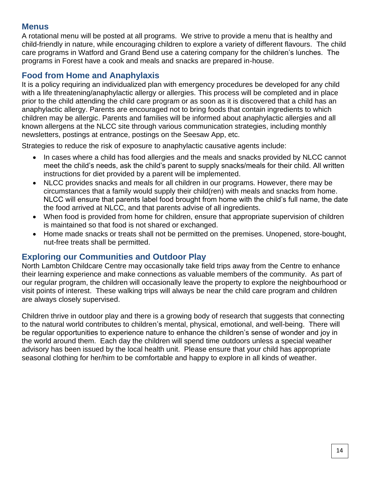#### **Menus**

A rotational menu will be posted at all programs. We strive to provide a menu that is healthy and child-friendly in nature, while encouraging children to explore a variety of different flavours. The child care programs in Watford and Grand Bend use a catering company for the children's lunches. The programs in Forest have a cook and meals and snacks are prepared in-house.

# **Food from Home and Anaphylaxis**

It is a policy requiring an individualized plan with emergency procedures be developed for any child with a life threatening/anaphylactic allergy or allergies. This process will be completed and in place prior to the child attending the child care program or as soon as it is discovered that a child has an anaphylactic allergy. Parents are encouraged not to bring foods that contain ingredients to which children may be allergic. Parents and families will be informed about anaphylactic allergies and all known allergens at the NLCC site through various communication strategies, including monthly newsletters, postings at entrance, postings on the Seesaw App, etc.

Strategies to reduce the risk of exposure to anaphylactic causative agents include:

- In cases where a child has food allergies and the meals and snacks provided by NLCC cannot meet the child's needs, ask the child's parent to supply snacks/meals for their child. All written instructions for diet provided by a parent will be implemented.
- NLCC provides snacks and meals for all children in our programs. However, there may be circumstances that a family would supply their child(ren) with meals and snacks from home. NLCC will ensure that parents label food brought from home with the child's full name, the date the food arrived at NLCC, and that parents advise of all ingredients.
- When food is provided from home for children, ensure that appropriate supervision of children is maintained so that food is not shared or exchanged.
- Home made snacks or treats shall not be permitted on the premises. Unopened, store-bought, nut-free treats shall be permitted.

# **Exploring our Communities and Outdoor Play**

North Lambton Childcare Centre may occasionally take field trips away from the Centre to enhance their learning experience and make connections as valuable members of the community. As part of our regular program, the children will occasionally leave the property to explore the neighbourhood or visit points of interest. These walking trips will always be near the child care program and children are always closely supervised.

Children thrive in outdoor play and there is a growing body of research that suggests that connecting to the natural world contributes to children's mental, physical, emotional, and well-being. There will be regular opportunities to experience nature to enhance the children's sense of wonder and joy in the world around them. Each day the children will spend time outdoors unless a special weather advisory has been issued by the local health unit. Please ensure that your child has appropriate seasonal clothing for her/him to be comfortable and happy to explore in all kinds of weather.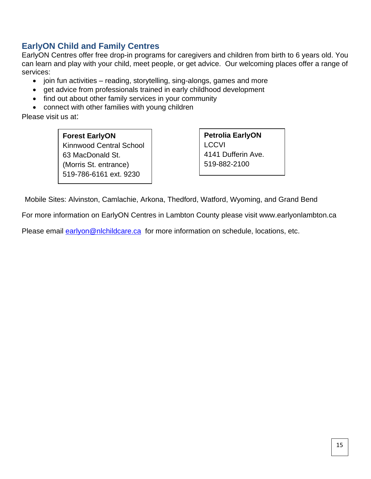# **EarlyON Child and Family Centres**

EarlyON Centres offer free drop-in programs for caregivers and children from birth to 6 years old. You can learn and play with your child, meet people, or get advice. Our welcoming places offer a range of services:

- join fun activities reading, storytelling, sing-alongs, games and more
- get advice from professionals trained in early childhood development
- find out about other family services in your community
- connect with other families with young children

Please visit us at:

**Forest EarlyON** Kinnwood Central School 63 MacDonald St. (Morris St. entrance) 519-786-6161 ext. 9230

**Petrolia EarlyON LCCVI** 4141 Dufferin Ave. 519-882-2100

Mobile Sites: Alvinston, Camlachie, Arkona, Thedford, Watford, Wyoming, and Grand Bend

For more information on EarlyON Centres in Lambton County please visit www.earlyonlambton.ca

Please email **earlyon@nlchildcare.ca** for more information on schedule, locations, etc.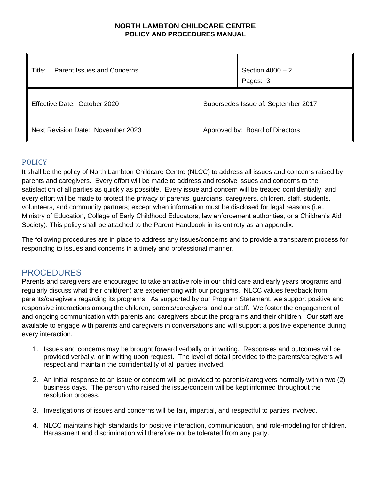#### **NORTH LAMBTON CHILDCARE CENTRE POLICY AND PROCEDURES MANUAL**

| <b>Parent Issues and Concerns</b><br>Title: | Section $4000 - 2$<br>Pages: 3      |  |
|---------------------------------------------|-------------------------------------|--|
| Effective Date: October 2020                | Supersedes Issue of: September 2017 |  |
| Next Revision Date: November 2023           | Approved by: Board of Directors     |  |

#### POLICY

It shall be the policy of North Lambton Childcare Centre (NLCC) to address all issues and concerns raised by parents and caregivers. Every effort will be made to address and resolve issues and concerns to the satisfaction of all parties as quickly as possible. Every issue and concern will be treated confidentially, and every effort will be made to protect the privacy of parents, guardians, caregivers, children, staff, students, volunteers, and community partners; except when information must be disclosed for legal reasons (i.e., Ministry of Education, College of Early Childhood Educators, law enforcement authorities, or a Children's Aid Society). This policy shall be attached to the Parent Handbook in its entirety as an appendix.

The following procedures are in place to address any issues/concerns and to provide a transparent process for responding to issues and concerns in a timely and professional manner.

#### PROCEDURES

Parents and caregivers are encouraged to take an active role in our child care and early years programs and regularly discuss what their child(ren) are experiencing with our programs. NLCC values feedback from parents/caregivers regarding its programs. As supported by our Program Statement, we support positive and responsive interactions among the children, parents/caregivers, and our staff. We foster the engagement of and ongoing communication with parents and caregivers about the programs and their children. Our staff are available to engage with parents and caregivers in conversations and will support a positive experience during every interaction.

- 1. Issues and concerns may be brought forward verbally or in writing. Responses and outcomes will be provided verbally, or in writing upon request. The level of detail provided to the parents/caregivers will respect and maintain the confidentiality of all parties involved.
- 2. An initial response to an issue or concern will be provided to parents/caregivers normally within two (2) business days. The person who raised the issue/concern will be kept informed throughout the resolution process.
- 3. Investigations of issues and concerns will be fair, impartial, and respectful to parties involved.
- 4. NLCC maintains high standards for positive interaction, communication, and role-modeling for children. Harassment and discrimination will therefore not be tolerated from any party.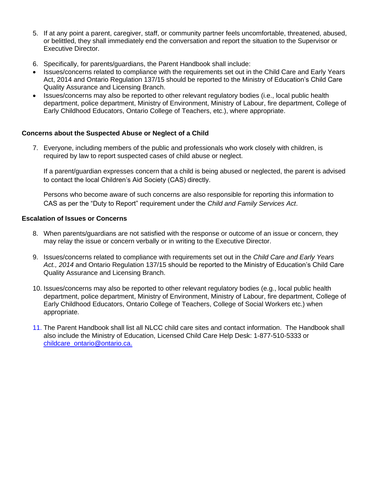- 5. If at any point a parent, caregiver, staff, or community partner feels uncomfortable, threatened, abused, or belittled, they shall immediately end the conversation and report the situation to the Supervisor or Executive Director.
- 6. Specifically, for parents/guardians, the Parent Handbook shall include:
- Issues/concerns related to compliance with the requirements set out in the Child Care and Early Years Act, 2014 and Ontario Regulation 137/15 should be reported to the Ministry of Education's Child Care Quality Assurance and Licensing Branch.
- Issues/concerns may also be reported to other relevant regulatory bodies (i.e., local public health department, police department, Ministry of Environment, Ministry of Labour, fire department, College of Early Childhood Educators, Ontario College of Teachers, etc.), where appropriate.

#### **Concerns about the Suspected Abuse or Neglect of a Child**

7. Everyone, including members of the public and professionals who work closely with children, is required by law to report suspected cases of child abuse or neglect.

If a parent/guardian expresses concern that a child is being abused or neglected, the parent is advised to contact the local Children's Aid Society (CAS) directly.

Persons who become aware of such concerns are also responsible for reporting this information to CAS as per the "Duty to Report" requirement under the *Child and Family Services Act*.

#### **Escalation of Issues or Concerns**

- 8. When parents/guardians are not satisfied with the response or outcome of an issue or concern, they may relay the issue or concern verbally or in writing to the Executive Director.
- 9. Issues/concerns related to compliance with requirements set out in the *Child Care and Early Years Act., 2014* and Ontario Regulation 137/15 should be reported to the Ministry of Education's Child Care Quality Assurance and Licensing Branch.
- 10. Issues/concerns may also be reported to other relevant regulatory bodies (e.g., local public health department, police department, Ministry of Environment, Ministry of Labour, fire department, College of Early Childhood Educators, Ontario College of Teachers, College of Social Workers etc.) when appropriate.
- 11. The Parent Handbook shall list all NLCC child care sites and contact information. The Handbook shall also include the Ministry of Education, Licensed Child Care Help Desk: 1-877-510-5333 or [childcare\\_ontario@ontario.ca.](mailto:childcare_ontario@ontario.ca)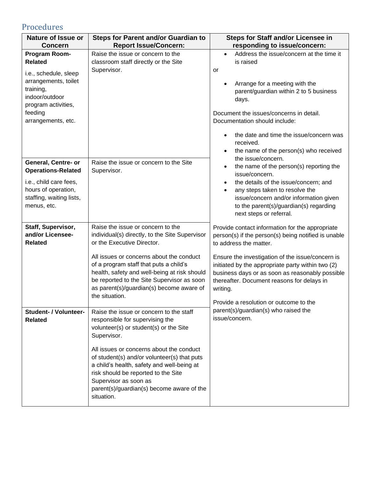# Procedures

| <b>Nature of Issue or</b>                                                                                                                                               | <b>Steps for Parent and/or Guardian to</b>                                                                                                                                                                                                     | Steps for Staff and/or Licensee in                                                                                                                                                                                                                                                                                                                         |  |
|-------------------------------------------------------------------------------------------------------------------------------------------------------------------------|------------------------------------------------------------------------------------------------------------------------------------------------------------------------------------------------------------------------------------------------|------------------------------------------------------------------------------------------------------------------------------------------------------------------------------------------------------------------------------------------------------------------------------------------------------------------------------------------------------------|--|
| <b>Concern</b>                                                                                                                                                          | <b>Report Issue/Concern:</b>                                                                                                                                                                                                                   | responding to issue/concern:                                                                                                                                                                                                                                                                                                                               |  |
| Program Room-<br><b>Related</b><br>i.e., schedule, sleep<br>arrangements, toilet<br>training,<br>indoor/outdoor<br>program activities,<br>feeding<br>arrangements, etc. | Raise the issue or concern to the<br>classroom staff directly or the Site<br>Supervisor.                                                                                                                                                       | Address the issue/concern at the time it<br>$\bullet$<br>is raised<br>or<br>Arrange for a meeting with the<br>parent/guardian within 2 to 5 business<br>days.<br>Document the issues/concerns in detail.<br>Documentation should include:<br>the date and time the issue/concern was<br>$\bullet$<br>received.                                             |  |
| General, Centre- or<br><b>Operations-Related</b><br>i.e., child care fees,<br>hours of operation,<br>staffing, waiting lists,<br>menus, etc.                            | Raise the issue or concern to the Site<br>Supervisor.                                                                                                                                                                                          | the name of the person(s) who received<br>$\bullet$<br>the issue/concern.<br>the name of the person(s) reporting the<br>$\bullet$<br>issue/concern.<br>the details of the issue/concern; and<br>$\bullet$<br>any steps taken to resolve the<br>issue/concern and/or information given<br>to the parent(s)/guardian(s) regarding<br>next steps or referral. |  |
| Staff, Supervisor,<br>and/or Licensee-<br><b>Related</b>                                                                                                                | Raise the issue or concern to the<br>individual(s) directly, to the Site Supervisor<br>or the Executive Director.                                                                                                                              | Provide contact information for the appropriate<br>person(s) if the person(s) being notified is unable<br>to address the matter.                                                                                                                                                                                                                           |  |
|                                                                                                                                                                         | All issues or concerns about the conduct<br>of a program staff that puts a child's<br>health, safety and well-being at risk should<br>be reported to the Site Supervisor as soon<br>as parent(s)/guardian(s) become aware of<br>the situation. | Ensure the investigation of the issue/concern is<br>initiated by the appropriate party within two (2)<br>business days or as soon as reasonably possible<br>thereafter. Document reasons for delays in<br>writing.<br>Provide a resolution or outcome to the                                                                                               |  |
| Student- / Volunteer-<br><b>Related</b>                                                                                                                                 | Raise the issue or concern to the staff<br>responsible for supervising the<br>volunteer(s) or student(s) or the Site<br>Supervisor.<br>All issues or concerns about the conduct<br>of student(s) and/or volunteer(s) that puts                 | parent(s)/guardian(s) who raised the<br>issue/concern.                                                                                                                                                                                                                                                                                                     |  |
|                                                                                                                                                                         | a child's health, safety and well-being at<br>risk should be reported to the Site<br>Supervisor as soon as<br>parent(s)/guardian(s) become aware of the<br>situation.                                                                          |                                                                                                                                                                                                                                                                                                                                                            |  |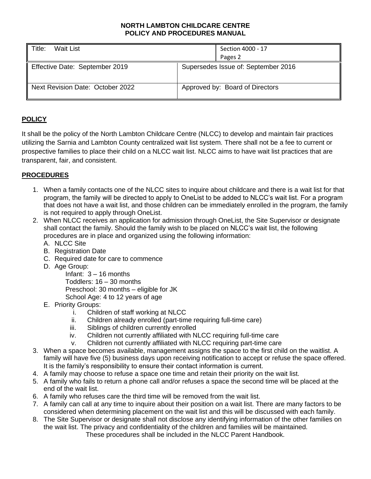#### **NORTH LAMBTON CHILDCARE CENTRE POLICY AND PROCEDURES MANUAL**

| <b>Wait List</b><br>Title:       | Section 4000 - 17<br>Pages 2        |
|----------------------------------|-------------------------------------|
| Effective Date: September 2019   | Supersedes Issue of: September 2016 |
| Next Revision Date: October 2022 | Approved by: Board of Directors     |

#### **POLICY**

It shall be the policy of the North Lambton Childcare Centre (NLCC) to develop and maintain fair practices utilizing the Sarnia and Lambton County centralized wait list system. There shall not be a fee to current or prospective families to place their child on a NLCC wait list. NLCC aims to have wait list practices that are transparent, fair, and consistent.

#### **PROCEDURES**

- 1. When a family contacts one of the NLCC sites to inquire about childcare and there is a wait list for that program, the family will be directed to apply to OneList to be added to NLCC's wait list. For a program that does not have a wait list, and those children can be immediately enrolled in the program, the family is not required to apply through OneList.
- 2. When NLCC receives an application for admission through OneList, the Site Supervisor or designate shall contact the family. Should the family wish to be placed on NLCC's wait list, the following procedures are in place and organized using the following information:
	- A. NLCC Site
	- B. Registration Date
	- C. Required date for care to commence
	- D. Age Group:

Infant: 3 – 16 months Toddlers: 16 – 30 months Preschool: 30 months – eligible for JK School Age: 4 to 12 years of age

- E. Priority Groups:
	- i. Children of staff working at NLCC
	- ii. Children already enrolled (part-time requiring full-time care)
	- iii. Siblings of children currently enrolled
	- iv. Children not currently affiliated with NLCC requiring full-time care
	- v. Children not currently affiliated with NLCC requiring part-time care
- 3. When a space becomes available, management assigns the space to the first child on the waitlist. A family will have five (5) business days upon receiving notification to accept or refuse the space offered. It is the family's responsibility to ensure their contact information is current.
- 4. A family may choose to refuse a space one time and retain their priority on the wait list.
- 5. A family who fails to return a phone call and/or refuses a space the second time will be placed at the end of the wait list.
- 6. A family who refuses care the third time will be removed from the wait list.
- 7. A family can call at any time to inquire about their position on a wait list. There are many factors to be considered when determining placement on the wait list and this will be discussed with each family.
- 8. The Site Supervisor or designate shall not disclose any identifying information of the other families on the wait list. The privacy and confidentiality of the children and families will be maintained. These procedures shall be included in the NLCC Parent Handbook.